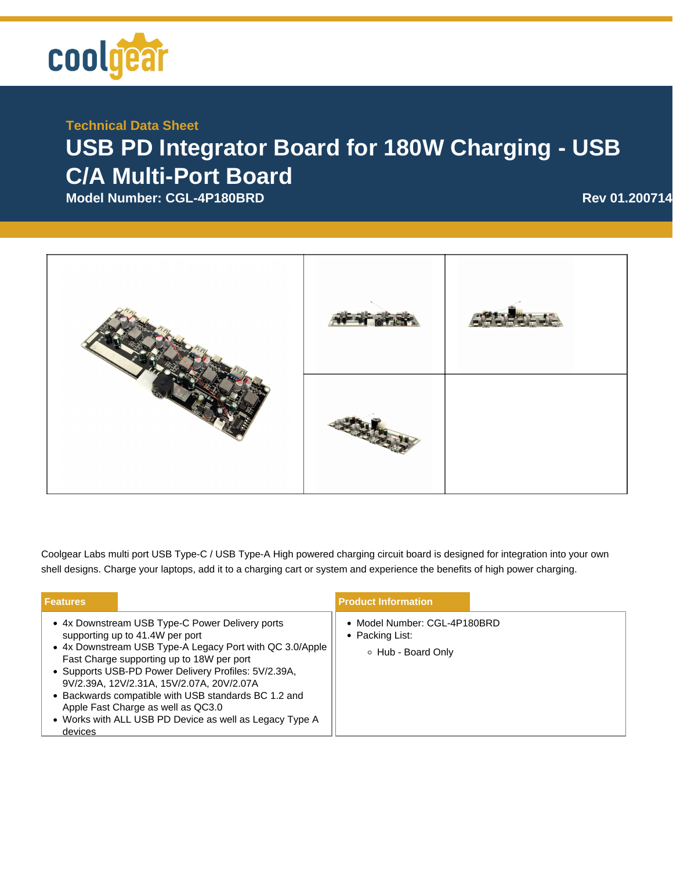

## **Technical Data Sheet**

## **USB PD Integrator Board for 180W Charging - USB C/A Multi-Port Board**

**Model Number: CGL-4P180BRD Rev 01.200714**



Coolgear Labs multi port USB Type-C / USB Type-A High powered charging circuit board is designed for integration into your own shell designs. Charge your laptops, add it to a charging cart or system and experience the benefits of high power charging.

| <b>Features</b>                                                                                                                                                                                                                                                                                                                                                                                                                                                      |  | <b>Product Information</b>                                            |  |
|----------------------------------------------------------------------------------------------------------------------------------------------------------------------------------------------------------------------------------------------------------------------------------------------------------------------------------------------------------------------------------------------------------------------------------------------------------------------|--|-----------------------------------------------------------------------|--|
| • 4x Downstream USB Type-C Power Delivery ports<br>supporting up to 41.4W per port<br>• 4x Downstream USB Type-A Legacy Port with QC 3.0/Apple<br>Fast Charge supporting up to 18W per port<br>• Supports USB-PD Power Delivery Profiles: 5V/2.39A,<br>9V/2.39A, 12V/2.31A, 15V/2.07A, 20V/2.07A<br>• Backwards compatible with USB standards BC 1.2 and<br>Apple Fast Charge as well as QC3.0<br>• Works with ALL USB PD Device as well as Legacy Type A<br>devices |  | • Model Number: CGL-4P180BRD<br>• Packing List:<br>○ Hub - Board Only |  |